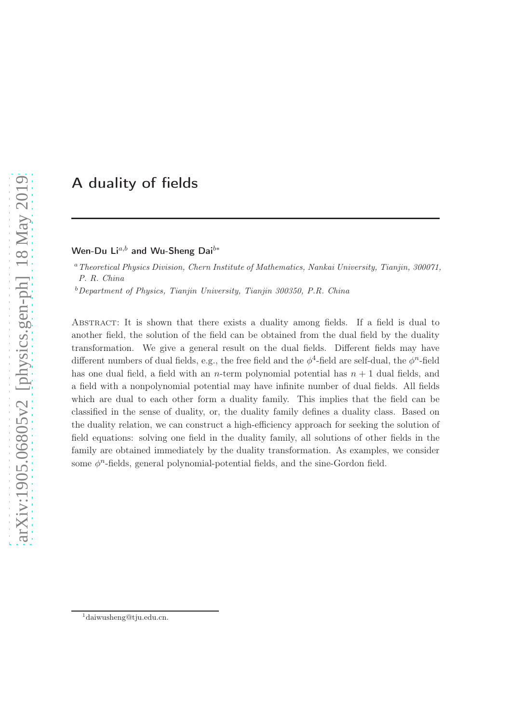# A duality of fields

## Wen-Du Li<sup>a,b</sup> and Wu-Sheng Dai<sup>b\*</sup>

<sup>a</sup> Theoretical Physics Division, Chern Institute of Mathematics, Nankai University, Tianjin, 300071, P. R. China

 $b$ Department of Physics, Tianjin University, Tianjin 300350, P.R. China

Abstract: It is shown that there exists a duality among fields. If a field is dual to another field, the solution of the field can be obtained from the dual field by the duality transformation. We give a general result on the dual fields. Different fields may have different numbers of dual fields, e.g., the free field and the  $\phi^4$ -field are self-dual, the  $\phi^n$ -field has one dual field, a field with an *n*-term polynomial potential has  $n + 1$  dual fields, and a field with a nonpolynomial potential may have infinite number of dual fields. All fields which are dual to each other form a duality family. This implies that the field can be classified in the sense of duality, or, the duality family defines a duality class. Based on the duality relation, we can construct a high-efficiency approach for seeking the solution of field equations: solving one field in the duality family, all solutions of other fields in the family are obtained immediately by the duality transformation. As examples, we consider some  $\phi^n$ -fields, general polynomial-potential fields, and the sine-Gordon field.

<sup>1</sup>daiwusheng@tju.edu.cn.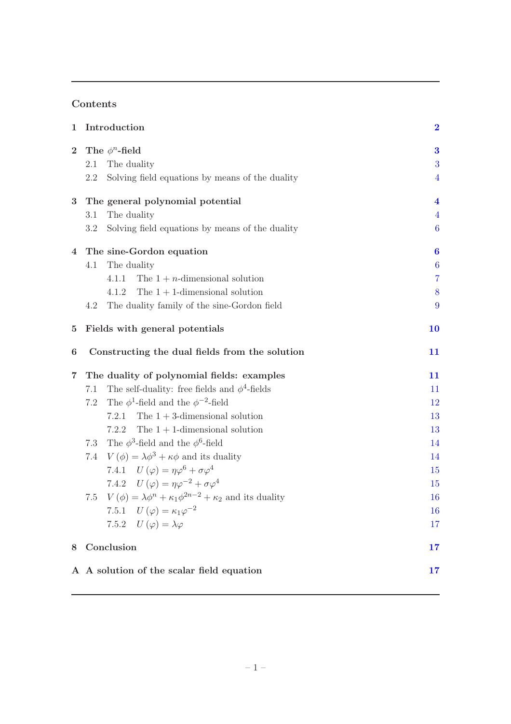## Contents

|                                                                 | $\bf{2}$                                                                                                                                                 |
|-----------------------------------------------------------------|----------------------------------------------------------------------------------------------------------------------------------------------------------|
| The $\phi^n$ -field                                             | 3                                                                                                                                                        |
| 2.1<br>The duality                                              | 3                                                                                                                                                        |
| Solving field equations by means of the duality<br>2.2          | $\overline{4}$                                                                                                                                           |
| The general polynomial potential                                | $\overline{\mathbf{4}}$                                                                                                                                  |
| The duality<br>3.1                                              | $\overline{4}$                                                                                                                                           |
| 3.2<br>Solving field equations by means of the duality          | $\boldsymbol{6}$                                                                                                                                         |
| The sine-Gordon equation                                        | $\boldsymbol{6}$                                                                                                                                         |
| The duality<br>4.1                                              | $\boldsymbol{6}$                                                                                                                                         |
| The $1 + n$ -dimensional solution<br>4.1.1                      | $\overline{7}$                                                                                                                                           |
| The $1 + 1$ -dimensional solution<br>4.1.2                      | 8                                                                                                                                                        |
| The duality family of the sine-Gordon field<br>4.2              | 9                                                                                                                                                        |
| Fields with general potentials                                  | <b>10</b>                                                                                                                                                |
| Constructing the dual fields from the solution                  | 11                                                                                                                                                       |
| The duality of polynomial fields: examples                      | 11                                                                                                                                                       |
| The self-duality: free fields and $\phi^4$ -fields<br>7.1       | 11                                                                                                                                                       |
| The $\phi^1$ -field and the $\phi^{-2}$ -field<br>7.2           | 12                                                                                                                                                       |
| The $1+3$ -dimensional solution<br>7.2.1                        | 13                                                                                                                                                       |
| The $1 + 1$ -dimensional solution<br>7.2.2                      | 13                                                                                                                                                       |
| The $\phi^3$ -field and the $\phi^6$ -field<br>7.3              | 14                                                                                                                                                       |
| $V(\phi) = \lambda \phi^3 + \kappa \phi$ and its duality<br>7.4 | 14                                                                                                                                                       |
|                                                                 | 15                                                                                                                                                       |
| 7.4.2 $U(\varphi) = \eta \varphi^{-2} + \sigma \varphi^4$       | 15                                                                                                                                                       |
| 7.5                                                             | 16                                                                                                                                                       |
| 7.5.1 $U(\varphi) = \kappa_1 \varphi^{-2}$                      | 16                                                                                                                                                       |
| 7.5.2 $U(\varphi) = \lambda \varphi$                            | 17                                                                                                                                                       |
|                                                                 |                                                                                                                                                          |
| Conclusion                                                      | 17                                                                                                                                                       |
|                                                                 | Introduction<br>7.4.1 $U(\varphi) = \eta \varphi^6 + \sigma \varphi^4$<br>$V(\phi) = \lambda \phi^{n} + \kappa_1 \phi^{2n-2} + \kappa_2$ and its duality |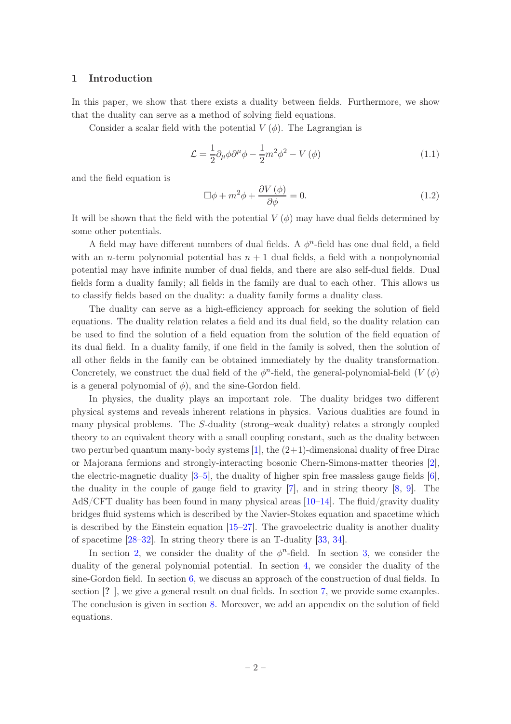#### 1 Introduction

In this paper, we show that there exists a duality between fields. Furthermore, we show that the duality can serve as a method of solving field equations.

Consider a scalar field with the potential  $V(\phi)$ . The Lagrangian is

$$
\mathcal{L} = \frac{1}{2} \partial_{\mu} \phi \partial^{\mu} \phi - \frac{1}{2} m^2 \phi^2 - V(\phi)
$$
 (1.1)

and the field equation is

$$
\Box \phi + m^2 \phi + \frac{\partial V(\phi)}{\partial \phi} = 0.
$$
 (1.2)

It will be shown that the field with the potential  $V(\phi)$  may have dual fields determined by some other potentials.

A field may have different numbers of dual fields. A  $\phi^n$ -field has one dual field, a field with an *n*-term polynomial potential has  $n + 1$  dual fields, a field with a nonpolynomial potential may have infinite number of dual fields, and there are also self-dual fields. Dual fields form a duality family; all fields in the family are dual to each other. This allows us to classify fields based on the duality: a duality family forms a duality class.

The duality can serve as a high-efficiency approach for seeking the solution of field equations. The duality relation relates a field and its dual field, so the duality relation can be used to find the solution of a field equation from the solution of the field equation of its dual field. In a duality family, if one field in the family is solved, then the solution of all other fields in the family can be obtained immediately by the duality transformation. Concretely, we construct the dual field of the  $\phi^n$ -field, the general-polynomial-field  $(V(\phi))$ is a general polynomial of  $\phi$ ), and the sine-Gordon field.

In physics, the duality plays an important role. The duality bridges two different physical systems and reveals inherent relations in physics. Various dualities are found in many physical problems. The S-duality (strong–weak duality) relates a strongly coupled theory to an equivalent theory with a small coupling constant, such as the duality between two perturbed quantum many-body systems  $[1]$ , the  $(2+1)$ -dimensional duality of free Dirac or Majorana fermions and strongly-interacting bosonic Chern-Simons-matter theories [2], the electric-magnetic duality  $[3-5]$ , the duality of higher spin free massless gauge fields  $[6]$ , the duality in the couple of gauge field to gravity [7], and in string theory [8, 9]. The AdS/CFT duality has been found in many physical areas  $[10-14]$ . The fluid/gravity duality bridges fluid systems which is described by the Navier-Stokes equation and spacetime which is described by the Einstein equation  $[15–27]$ . The gravoelectric duality is another duality of spacetime [28–32]. In string theory there is an T-duality [33, 34].

In section 2, we consider the duality of the  $\phi^n$ -field. In section 3, we consider the duality of the general polynomial potential. In section 4, we consider the duality of the sine-Gordon field. In section 6, we discuss an approach of the construction of dual fields. In section [? ], we give a general result on dual fields. In section 7, we provide some examples. The conclusion is given in section 8. Moreover, we add an appendix on the solution of field equations.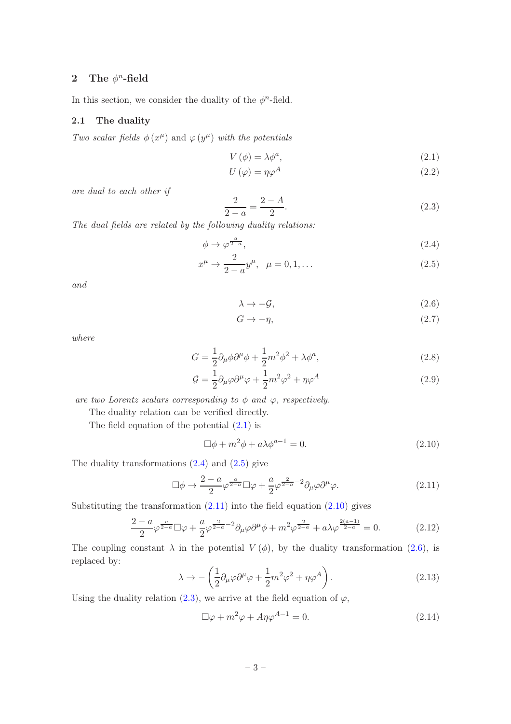## 2 The  $\phi^n$ -field

In this section, we consider the duality of the  $\phi^n$ -field.

#### 2.1 The duality

Two scalar fields  $\phi(x^{\mu})$  and  $\varphi(y^{\mu})$  with the potentials

$$
V(\phi) = \lambda \phi^a,\tag{2.1}
$$

$$
U(\varphi) = \eta \varphi^A \tag{2.2}
$$

are dual to each other if

$$
\frac{2}{2-a} = \frac{2-A}{2}.\tag{2.3}
$$

The dual fields are related by the following duality relations:

$$
\phi \to \varphi^{\frac{a}{2-a}},\tag{2.4}
$$

$$
x^{\mu} \to \frac{2}{2-a} y^{\mu}, \quad \mu = 0, 1, \dots
$$
 (2.5)

and

$$
\lambda \to -\mathcal{G},\tag{2.6}
$$

$$
G \to -\eta,\tag{2.7}
$$

where

$$
G = \frac{1}{2}\partial_{\mu}\phi\partial^{\mu}\phi + \frac{1}{2}m^2\phi^2 + \lambda\phi^a,\tag{2.8}
$$

$$
\mathcal{G} = \frac{1}{2} \partial_{\mu} \varphi \partial^{\mu} \varphi + \frac{1}{2} m^2 \varphi^2 + \eta \varphi^A
$$
\n(2.9)

are two Lorentz scalars corresponding to  $\phi$  and  $\varphi$ , respectively.

The duality relation can be verified directly.

The field equation of the potential (2.1) is

$$
\Box \phi + m^2 \phi + a \lambda \phi^{a-1} = 0. \tag{2.10}
$$

The duality transformations  $(2.4)$  and  $(2.5)$  give

$$
\Box \phi \to \frac{2-a}{2} \varphi^{\frac{a}{2-a}} \Box \varphi + \frac{a}{2} \varphi^{\frac{2}{2-a}-2} \partial_\mu \varphi \partial^\mu \varphi.
$$
 (2.11)

Substituting the transformation  $(2.11)$  into the field equation  $(2.10)$  gives

$$
\frac{2-a}{2}\varphi^{\frac{a}{2-a}}\Box\varphi + \frac{a}{2}\varphi^{\frac{2}{2-a}-2}\partial_{\mu}\varphi\partial^{\mu}\phi + m^{2}\varphi^{\frac{2}{2-a}} + a\lambda\varphi^{\frac{2(a-1)}{2-a}} = 0.
$$
 (2.12)

The coupling constant  $\lambda$  in the potential  $V(\phi)$ , by the duality transformation (2.6), is replaced by:

$$
\lambda \to -\left(\frac{1}{2}\partial_{\mu}\varphi\partial^{\mu}\varphi + \frac{1}{2}m^2\varphi^2 + \eta\varphi^A\right). \tag{2.13}
$$

Using the duality relation (2.3), we arrive at the field equation of  $\varphi$ ,

$$
\Box \varphi + m^2 \varphi + A \eta \varphi^{A-1} = 0. \tag{2.14}
$$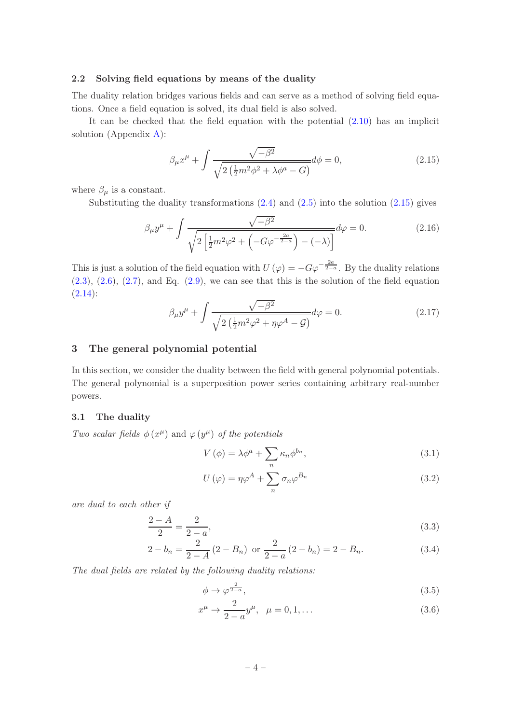#### 2.2 Solving field equations by means of the duality

The duality relation bridges various fields and can serve as a method of solving field equations. Once a field equation is solved, its dual field is also solved.

It can be checked that the field equation with the potential (2.10) has an implicit solution (Appendix A):

$$
\beta_{\mu}x^{\mu} + \int \frac{\sqrt{-\beta^2}}{\sqrt{2(\frac{1}{2}m^2\phi^2 + \lambda\phi^a - G)}}d\phi = 0, \qquad (2.15)
$$

where  $\beta_{\mu}$  is a constant.

Substituting the duality transformations  $(2.4)$  and  $(2.5)$  into the solution  $(2.15)$  gives

$$
\beta_{\mu}y^{\mu} + \int \frac{\sqrt{-\beta^2}}{\sqrt{2\left[\frac{1}{2}m^2\varphi^2 + \left(-G\varphi^{-\frac{2a}{2-a}}\right) - (-\lambda)\right]}}d\varphi = 0.
$$
\n(2.16)

This is just a solution of the field equation with  $U(\varphi) = -G\varphi^{-\frac{2a}{2-a}}$ . By the duality relations  $(2.3)$ ,  $(2.6)$ ,  $(2.7)$ , and Eq.  $(2.9)$ , we can see that this is the solution of the field equation  $(2.14):$ 

$$
\beta_{\mu}y^{\mu} + \int \frac{\sqrt{-\beta^2}}{\sqrt{2(\frac{1}{2}m^2\varphi^2 + \eta\varphi^A - \mathcal{G})}}d\varphi = 0.
$$
\n(2.17)

#### 3 The general polynomial potential

In this section, we consider the duality between the field with general polynomial potentials. The general polynomial is a superposition power series containing arbitrary real-number powers.

#### 3.1 The duality

Two scalar fields  $\phi(x^{\mu})$  and  $\varphi(y^{\mu})$  of the potentials

$$
V(\phi) = \lambda \phi^a + \sum_n \kappa_n \phi^{b_n},\tag{3.1}
$$

$$
U(\varphi) = \eta \varphi^A + \sum_n \sigma_n \varphi^{B_n} \tag{3.2}
$$

are dual to each other if

$$
\frac{2-A}{2} = \frac{2}{2-a},
$$
\n(3.3)

$$
2 - b_n = \frac{2}{2 - A} (2 - B_n) \text{ or } \frac{2}{2 - a} (2 - b_n) = 2 - B_n.
$$
 (3.4)

The dual fields are related by the following duality relations:

$$
\phi \to \varphi^{\frac{2}{2-a}},\tag{3.5}
$$

$$
x^{\mu} \to \frac{2}{2-a} y^{\mu}, \quad \mu = 0, 1, \dots
$$
 (3.6)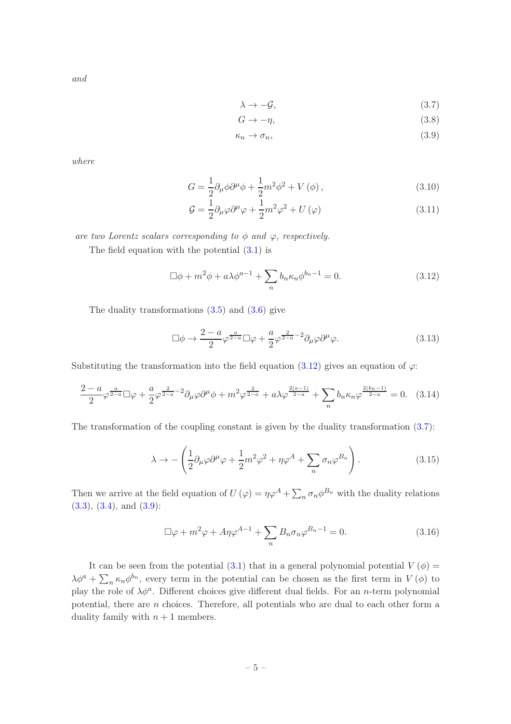and

$$
\lambda \to -\mathcal{G},\tag{3.7}
$$

$$
G \to -\eta,\tag{3.8}
$$

$$
\kappa_n \to \sigma_n,\tag{3.9}
$$

where

$$
G = \frac{1}{2}\partial_{\mu}\phi\partial^{\mu}\phi + \frac{1}{2}m^{2}\phi^{2} + V(\phi), \qquad (3.10)
$$

$$
\mathcal{G} = \frac{1}{2} \partial_{\mu} \varphi \partial^{\mu} \varphi + \frac{1}{2} m^2 \varphi^2 + U(\varphi)
$$
\n(3.11)

are two Lorentz scalars corresponding to  $\phi$  and  $\varphi$ , respectively.

The field equation with the potential (3.1) is

$$
\Box \phi + m^2 \phi + a \lambda \phi^{a-1} + \sum_n b_n \kappa_n \phi^{b_n - 1} = 0.
$$
 (3.12)

The duality transformations (3.5) and (3.6) give

$$
\Box \phi \to \frac{2-a}{2} \varphi^{\frac{a}{2-a}} \Box \varphi + \frac{a}{2} \varphi^{\frac{2}{2-a}-2} \partial_{\mu} \varphi \partial^{\mu} \varphi.
$$
 (3.13)

Substituting the transformation into the field equation (3.12) gives an equation of  $\varphi$ :

$$
\frac{2-a}{2}\varphi^{\frac{a}{2-a}}\Box\varphi+\frac{a}{2}\varphi^{\frac{2}{2-a}-2}\partial_{\mu}\varphi\partial^{\mu}\phi+m^{2}\varphi^{\frac{2}{2-a}}+a\lambda\varphi^{\frac{2(a-1)}{2-a}}+\sum_{n}b_{n}\kappa_{n}\varphi^{\frac{2(b_{n}-1)}{2-a}}=0.
$$
 (3.14)

The transformation of the coupling constant is given by the duality transformation  $(3.7)$ :

$$
\lambda \to -\left(\frac{1}{2}\partial_{\mu}\varphi\partial^{\mu}\varphi + \frac{1}{2}m^{2}\varphi^{2} + \eta\varphi^{A} + \sum_{n} \sigma_{n}\varphi^{B_{n}}\right). \tag{3.15}
$$

Then we arrive at the field equation of  $U(\varphi) = \eta \varphi^A + \sum_n \sigma_n \varphi^{B_n}$  with the duality relations  $(3.3), (3.4), \text{ and } (3.9)$ :

$$
\Box \varphi + m^2 \varphi + A \eta \varphi^{A-1} + \sum_n B_n \sigma_n \varphi^{B_n - 1} = 0.
$$
 (3.16)

It can be seen from the potential (3.1) that in a general polynomial potential  $V(\phi)$  =  $\lambda \phi^a + \sum_n \kappa_n \phi^{b_n}$ , every term in the potential can be chosen as the first term in  $V(\phi)$  to play the role of  $\lambda \phi^a$ . Different choices give different dual fields. For an *n*-term polynomial potential, there are n choices. Therefore, all potentials who are dual to each other form a duality family with  $n + 1$  members.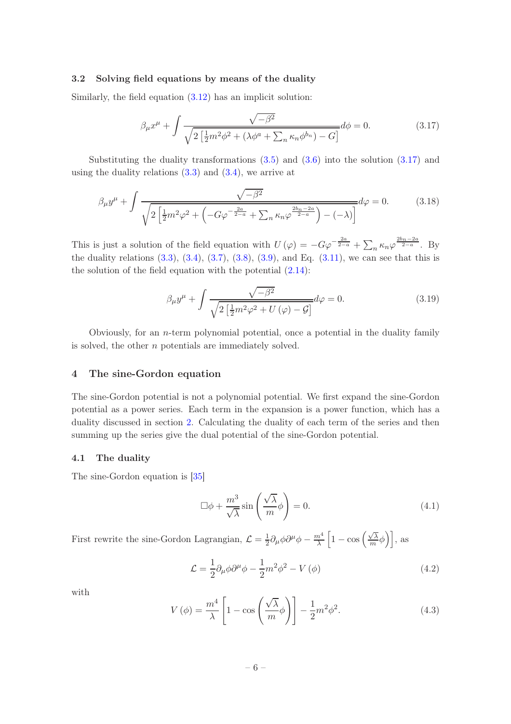#### 3.2 Solving field equations by means of the duality

Similarly, the field equation (3.12) has an implicit solution:

$$
\beta_{\mu} x^{\mu} + \int \frac{\sqrt{-\beta^2}}{\sqrt{2\left[\frac{1}{2}m^2 \phi^2 + (\lambda \phi^a + \sum_n \kappa_n \phi^{b_n}) - G\right]}} d\phi = 0.
$$
 (3.17)

Substituting the duality transformations  $(3.5)$  and  $(3.6)$  into the solution  $(3.17)$  and using the duality relations  $(3.3)$  and  $(3.4)$ , we arrive at

$$
\beta_{\mu} y^{\mu} + \int \frac{\sqrt{-\beta^2}}{\sqrt{2\left[\frac{1}{2}m^2 \varphi^2 + \left(-G\varphi^{-\frac{2a}{2-a}} + \sum_n \kappa_n \varphi^{\frac{2b_n - 2a}{2-a}}\right) - (-\lambda)\right]}} d\varphi = 0.
$$
 (3.18)

This is just a solution of the field equation with  $U(\varphi) = -G\varphi^{-\frac{2a}{2-a}} + \sum_n \kappa_n \varphi^{\frac{2b_n-2a}{2-a}}$ . By the duality relations  $(3.3)$ ,  $(3.4)$ ,  $(3.7)$ ,  $(3.8)$ ,  $(3.9)$ , and Eq.  $(3.11)$ , we can see that this is the solution of the field equation with the potential (2.14):

$$
\beta_{\mu}y^{\mu} + \int \frac{\sqrt{-\beta^2}}{\sqrt{2\left[\frac{1}{2}m^2\varphi^2 + U(\varphi) - \mathcal{G}\right]}}d\varphi = 0.
$$
\n(3.19)

Obviously, for an  $n$ -term polynomial potential, once a potential in the duality family is solved, the other n potentials are immediately solved.

#### 4 The sine-Gordon equation

The sine-Gordon potential is not a polynomial potential. We first expand the sine-Gordon potential as a power series. Each term in the expansion is a power function, which has a duality discussed in section 2. Calculating the duality of each term of the series and then summing up the series give the dual potential of the sine-Gordon potential.

#### 4.1 The duality

The sine-Gordon equation is [35]

$$
\Box \phi + \frac{m^3}{\sqrt{\lambda}} \sin \left( \frac{\sqrt{\lambda}}{m} \phi \right) = 0. \tag{4.1}
$$

First rewrite the sine-Gordon Lagrangian,  $\mathcal{L} = \frac{1}{2}$  $\frac{1}{2}\partial_{\mu}\phi\partial^{\mu}\phi-\frac{m^{4}}{\lambda}$  $\frac{n^4}{\lambda} \left[ 1 - \cos \left( \frac{\sqrt{\lambda}}{m} \right) \right]$  $\left.\frac{\sqrt{\lambda}}{m}\phi\right)\right], \text{ as }$ 

$$
\mathcal{L} = \frac{1}{2} \partial_{\mu} \phi \partial^{\mu} \phi - \frac{1}{2} m^2 \phi^2 - V(\phi)
$$
\n(4.2)

with

$$
V(\phi) = \frac{m^4}{\lambda} \left[ 1 - \cos\left(\frac{\sqrt{\lambda}}{m}\phi\right) \right] - \frac{1}{2}m^2\phi^2.
$$
 (4.3)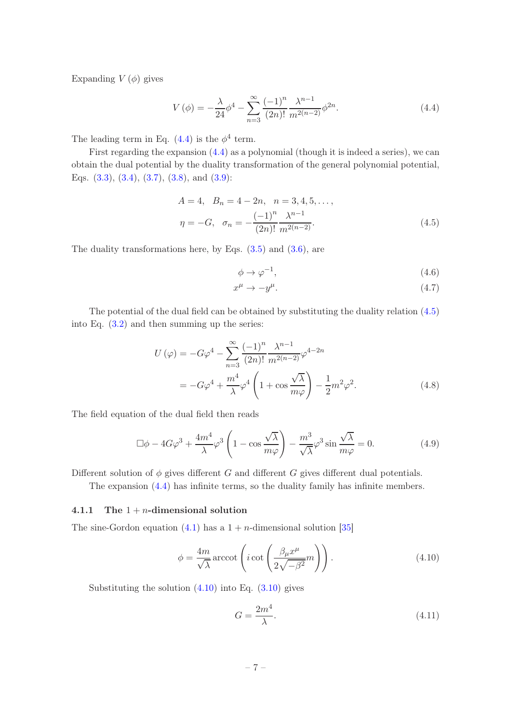Expanding  $V(\phi)$  gives

$$
V(\phi) = -\frac{\lambda}{24} \phi^4 - \sum_{n=3}^{\infty} \frac{(-1)^n}{(2n)!} \frac{\lambda^{n-1}}{m^{2(n-2)}} \phi^{2n}.
$$
 (4.4)

The leading term in Eq.  $(4.4)$  is the  $\phi^4$  term.

First regarding the expansion (4.4) as a polynomial (though it is indeed a series), we can obtain the dual potential by the duality transformation of the general polynomial potential, Eqs. (3.3), (3.4), (3.7), (3.8), and (3.9):

$$
A = 4, B_n = 4 - 2n, n = 3, 4, 5, \dots,
$$
  

$$
\eta = -G, \sigma_n = -\frac{(-1)^n}{(2n)!} \frac{\lambda^{n-1}}{m^{2(n-2)}}.
$$
 (4.5)

The duality transformations here, by Eqs.  $(3.5)$  and  $(3.6)$ , are

$$
\phi \to \varphi^{-1},\tag{4.6}
$$

$$
x^{\mu} \to -y^{\mu}.\tag{4.7}
$$

The potential of the dual field can be obtained by substituting the duality relation (4.5) into Eq. (3.2) and then summing up the series:

$$
U(\varphi) = -G\varphi^{4} - \sum_{n=3}^{\infty} \frac{(-1)^{n}}{(2n)!} \frac{\lambda^{n-1}}{m^{2(n-2)}} \varphi^{4-2n}
$$
  
=  $-G\varphi^{4} + \frac{m^{4}}{\lambda} \varphi^{4} \left(1 + \cos \frac{\sqrt{\lambda}}{m\varphi}\right) - \frac{1}{2}m^{2}\varphi^{2}.$  (4.8)

The field equation of the dual field then reads

$$
\Box \phi - 4G\varphi^3 + \frac{4m^4}{\lambda} \varphi^3 \left( 1 - \cos \frac{\sqrt{\lambda}}{m\varphi} \right) - \frac{m^3}{\sqrt{\lambda}} \varphi^3 \sin \frac{\sqrt{\lambda}}{m\varphi} = 0. \tag{4.9}
$$

Different solution of  $\phi$  gives different G and different G gives different dual potentials.

The expansion (4.4) has infinite terms, so the duality family has infinite members.

#### 4.1.1 The  $1 + n$ -dimensional solution

The sine-Gordon equation (4.1) has a  $1 + n$ -dimensional solution [35]

$$
\phi = \frac{4m}{\sqrt{\lambda}} \operatorname{arccot} \left( i \cot \left( \frac{\beta_{\mu} x^{\mu}}{2\sqrt{-\beta^2}} m \right) \right). \tag{4.10}
$$

Substituting the solution  $(4.10)$  into Eq.  $(3.10)$  gives

$$
G = \frac{2m^4}{\lambda}.\tag{4.11}
$$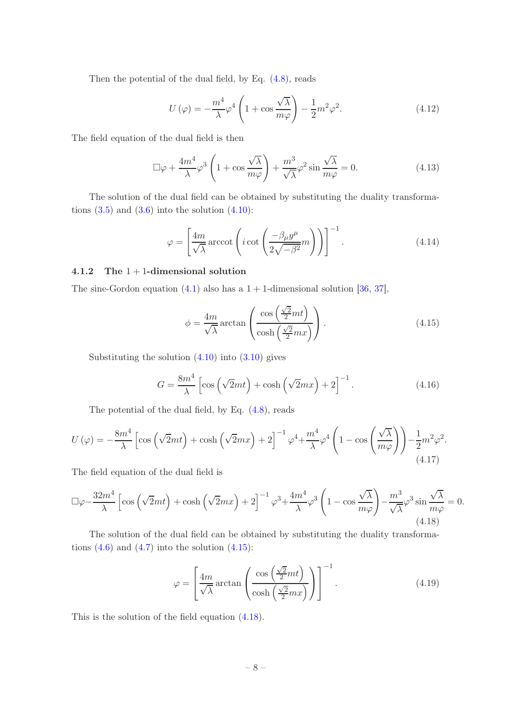Then the potential of the dual field, by Eq. (4.8), reads

$$
U(\varphi) = -\frac{m^4}{\lambda}\varphi^4 \left(1 + \cos\frac{\sqrt{\lambda}}{m\varphi}\right) - \frac{1}{2}m^2\varphi^2.
$$
 (4.12)

The field equation of the dual field is then

$$
\Box \varphi + \frac{4m^4}{\lambda} \varphi^3 \left( 1 + \cos \frac{\sqrt{\lambda}}{m\varphi} \right) + \frac{m^3}{\sqrt{\lambda}} \varphi^2 \sin \frac{\sqrt{\lambda}}{m\varphi} = 0. \tag{4.13}
$$

The solution of the dual field can be obtained by substituting the duality transformations  $(3.5)$  and  $(3.6)$  into the solution  $(4.10)$ :

$$
\varphi = \left[\frac{4m}{\sqrt{\lambda}}\arccot\left(i\cot\left(\frac{-\beta_{\mu}y^{\mu}}{2\sqrt{-\beta^{2}}}m\right)\right)\right]^{-1}.\tag{4.14}
$$

### 4.1.2 The 1 + 1-dimensional solution

The sine-Gordon equation  $(4.1)$  also has a  $1 + 1$ -dimensional solution [36, 37],

$$
\phi = \frac{4m}{\sqrt{\lambda}} \arctan\left(\frac{\cos\left(\frac{\sqrt{2}}{2}mt\right)}{\cosh\left(\frac{\sqrt{2}}{2}mx\right)}\right). \tag{4.15}
$$

Substituting the solution  $(4.10)$  into  $(3.10)$  gives

$$
G = \frac{8m^4}{\lambda} \left[ \cos\left(\sqrt{2}mt\right) + \cosh\left(\sqrt{2}mx\right) + 2 \right]^{-1}.
$$
 (4.16)

The potential of the dual field, by Eq. (4.8), reads

$$
U(\varphi) = -\frac{8m^4}{\lambda} \left[ \cos\left(\sqrt{2}mt\right) + \cosh\left(\sqrt{2}mx\right) + 2 \right]^{-1} \varphi^4 + \frac{m^4}{\lambda} \varphi^4 \left( 1 - \cos\left(\frac{\sqrt{\lambda}}{m\varphi}\right) \right) - \frac{1}{2} m^2 \varphi^2. \tag{4.17}
$$

The field equation of the dual field is

$$
\Box \varphi - \frac{32m^4}{\lambda} \left[ \cos \left( \sqrt{2}mt \right) + \cosh \left( \sqrt{2}mx \right) + 2 \right]^{-1} \varphi^3 + \frac{4m^4}{\lambda} \varphi^3 \left( 1 - \cos \frac{\sqrt{\lambda}}{m\varphi} \right) - \frac{m^3}{\sqrt{\lambda}} \varphi^3 \sin \frac{\sqrt{\lambda}}{m\varphi} = 0. \tag{4.18}
$$

The solution of the dual field can be obtained by substituting the duality transformations  $(4.6)$  and  $(4.7)$  into the solution  $(4.15)$ :

$$
\varphi = \left[\frac{4m}{\sqrt{\lambda}} \arctan\left(\frac{\cos\left(\frac{\sqrt{2}}{2}mt\right)}{\cosh\left(\frac{\sqrt{2}}{2}mx\right)}\right)\right]^{-1}.\tag{4.19}
$$

This is the solution of the field equation (4.18).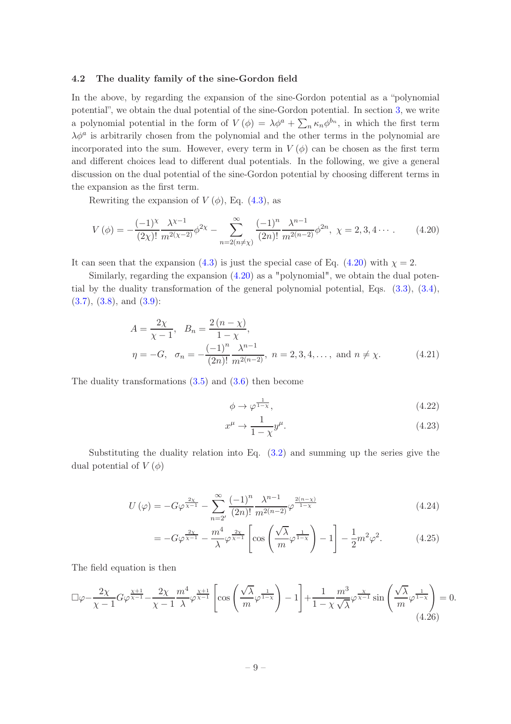#### 4.2 The duality family of the sine-Gordon field

In the above, by regarding the expansion of the sine-Gordon potential as a "polynomial potential", we obtain the dual potential of the sine-Gordon potential. In section 3, we write a polynomial potential in the form of  $V(\phi) = \lambda \phi^a + \sum_n \kappa_n \phi^{b_n}$ , in which the first term  $\lambda \phi^a$  is arbitrarily chosen from the polynomial and the other terms in the polynomial are incorporated into the sum. However, every term in  $V(\phi)$  can be chosen as the first term and different choices lead to different dual potentials. In the following, we give a general discussion on the dual potential of the sine-Gordon potential by choosing different terms in the expansion as the first term.

Rewriting the expansion of  $V(\phi)$ , Eq. (4.3), as

$$
V(\phi) = -\frac{(-1)^{\chi}}{(2\chi)!} \frac{\lambda^{\chi-1}}{m^{2(\chi-2)}} \phi^{2\chi} - \sum_{n=2(n\neq\chi)}^{\infty} \frac{(-1)^n}{(2n)!} \frac{\lambda^{n-1}}{m^{2(n-2)}} \phi^{2n}, \ \chi = 2, 3, 4 \cdots \,. \tag{4.20}
$$

It can seen that the expansion (4.3) is just the special case of Eq. (4.20) with  $\chi = 2$ .

Similarly, regarding the expansion (4.20) as a "polynomial", we obtain the dual potential by the duality transformation of the general polynomial potential, Eqs. (3.3), (3.4),  $(3.7), (3.8), \text{ and } (3.9)$ :

$$
A = \frac{2\chi}{\chi - 1}, \quad B_n = \frac{2(n - \chi)}{1 - \chi},
$$
  
\n
$$
\eta = -G, \quad \sigma_n = -\frac{(-1)^n}{(2n)!} \frac{\lambda^{n-1}}{m^{2(n-2)}}, \quad n = 2, 3, 4, \dots, \text{ and } n \neq \chi.
$$
 (4.21)

The duality transformations  $(3.5)$  and  $(3.6)$  then become

$$
\phi \to \varphi^{\frac{1}{1-\chi}},\tag{4.22}
$$

$$
x^{\mu} \to \frac{1}{1-\chi} y^{\mu}.
$$
\n(4.23)

Substituting the duality relation into Eq. (3.2) and summing up the series give the dual potential of  $V(\phi)$ 

$$
U(\varphi) = -G\varphi^{\frac{2\chi}{\chi-1}} - \sum_{n=2'}^{\infty} \frac{(-1)^n}{(2n)!} \frac{\lambda^{n-1}}{m^{2(n-2)}} \varphi^{\frac{2(n-\chi)}{1-\chi}}
$$
(4.24)

$$
= -G\varphi^{\frac{2\chi}{\chi-1}} - \frac{m^4}{\lambda}\varphi^{\frac{2\chi}{\chi-1}} \left[ \cos\left(\frac{\sqrt{\lambda}}{m}\varphi^{\frac{1}{1-\chi}}\right) - 1 \right] - \frac{1}{2}m^2\varphi^2. \tag{4.25}
$$

The field equation is then

$$
\Box \varphi - \frac{2\chi}{\chi - 1} G \varphi^{\frac{\chi + 1}{\chi - 1}} - \frac{2\chi}{\chi - 1} \frac{m^4}{\lambda} \varphi^{\frac{\chi + 1}{\chi - 1}} \left[ \cos \left( \frac{\sqrt{\lambda}}{m} \varphi^{\frac{1}{1 - \chi}} \right) - 1 \right] + \frac{1}{1 - \chi} \frac{m^3}{\sqrt{\lambda}} \varphi^{\frac{\chi}{\chi - 1}} \sin \left( \frac{\sqrt{\lambda}}{m} \varphi^{\frac{1}{1 - \chi}} \right) = 0. \tag{4.26}
$$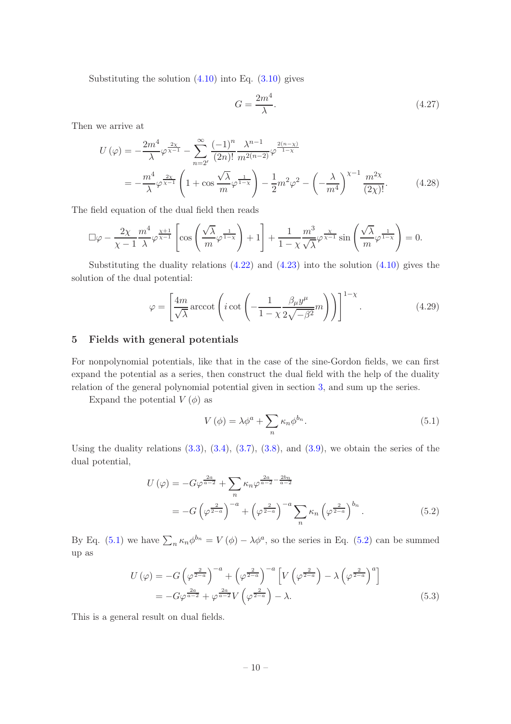Substituting the solution  $(4.10)$  into Eq.  $(3.10)$  gives

$$
G = \frac{2m^4}{\lambda}.\tag{4.27}
$$

Then we arrive at

$$
U(\varphi) = -\frac{2m^4}{\lambda} \varphi^{\frac{2\chi}{\chi-1}} - \sum_{n=2'}^{\infty} \frac{(-1)^n}{(2n)!} \frac{\lambda^{n-1}}{m^{2(n-2)}} \varphi^{\frac{2(n-\chi)}{1-\chi}}
$$
  
= 
$$
-\frac{m^4}{\lambda} \varphi^{\frac{2\chi}{\chi-1}} \left(1 + \cos \frac{\sqrt{\lambda}}{m} \varphi^{\frac{1}{1-\chi}}\right) - \frac{1}{2} m^2 \varphi^2 - \left(-\frac{\lambda}{m^4}\right)^{\chi-1} \frac{m^{2\chi}}{(2\chi)!}.
$$
 (4.28)

The field equation of the dual field then reads

$$
\Box \varphi - \frac{2\chi}{\chi - 1} \frac{m^4}{\lambda} \varphi^{\frac{\chi + 1}{\chi - 1}} \left[ \cos \left( \frac{\sqrt{\lambda}}{m} \varphi^{\frac{1}{1 - \chi}} \right) + 1 \right] + \frac{1}{1 - \chi} \frac{m^3}{\sqrt{\lambda}} \varphi^{\frac{\chi}{\chi - 1}} \sin \left( \frac{\sqrt{\lambda}}{m} \varphi^{\frac{1}{1 - \chi}} \right) = 0.
$$

Substituting the duality relations  $(4.22)$  and  $(4.23)$  into the solution  $(4.10)$  gives the solution of the dual potential:

$$
\varphi = \left[ \frac{4m}{\sqrt{\lambda}} \operatorname{arccot} \left( i \cot \left( -\frac{1}{1 - \chi} \frac{\beta_{\mu} y^{\mu}}{2\sqrt{-\beta^2}} m \right) \right) \right]^{1 - \chi} . \tag{4.29}
$$

#### 5 Fields with general potentials

For nonpolynomial potentials, like that in the case of the sine-Gordon fields, we can first expand the potential as a series, then construct the dual field with the help of the duality relation of the general polynomial potential given in section 3, and sum up the series.

Expand the potential  $V(\phi)$  as

$$
V(\phi) = \lambda \phi^a + \sum_n \kappa_n \phi^{b_n}.
$$
\n(5.1)

Using the duality relations  $(3.3)$ ,  $(3.4)$ ,  $(3.7)$ ,  $(3.8)$ , and  $(3.9)$ , we obtain the series of the dual potential,

$$
U(\varphi) = -G\varphi^{\frac{2a}{a-2}} + \sum_{n} \kappa_n \varphi^{\frac{2a}{a-2} - \frac{2b_n}{a-2}}
$$
  
= 
$$
-G\left(\varphi^{\frac{2}{2-a}}\right)^{-a} + \left(\varphi^{\frac{2}{2-a}}\right)^{-a} \sum_{n} \kappa_n \left(\varphi^{\frac{2}{2-a}}\right)^{b_n}.
$$
 (5.2)

By Eq. (5.1) we have  $\sum_{n} \kappa_n \phi^{b_n} = V(\phi) - \lambda \phi^a$ , so the series in Eq. (5.2) can be summed up as

$$
U(\varphi) = -G\left(\varphi^{\frac{2}{2-a}}\right)^{-a} + \left(\varphi^{\frac{2}{2-a}}\right)^{-a} \left[V\left(\varphi^{\frac{2}{2-a}}\right) - \lambda\left(\varphi^{\frac{2}{2-a}}\right)^{a}\right]
$$

$$
= -G\varphi^{\frac{2a}{a-2}} + \varphi^{\frac{2a}{a-2}}V\left(\varphi^{\frac{2}{2-a}}\right) - \lambda.
$$
(5.3)

This is a general result on dual fields.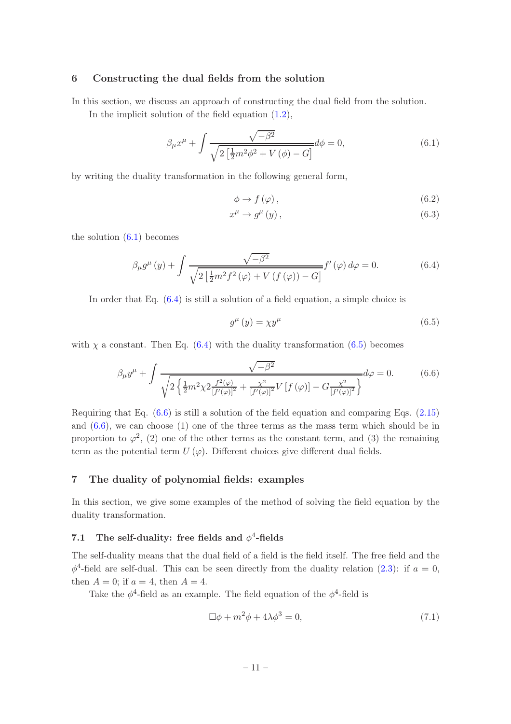#### 6 Constructing the dual fields from the solution

In this section, we discuss an approach of constructing the dual field from the solution.

In the implicit solution of the field equation (1.2),

$$
\beta_{\mu}x^{\mu} + \int \frac{\sqrt{-\beta^2}}{\sqrt{2\left[\frac{1}{2}m^2\phi^2 + V(\phi) - G\right]}}d\phi = 0, \tag{6.1}
$$

by writing the duality transformation in the following general form,

$$
\phi \to f(\varphi) \,, \tag{6.2}
$$

$$
x^{\mu} \to g^{\mu} \left( y \right), \tag{6.3}
$$

the solution  $(6.1)$  becomes

$$
\beta_{\mu}g^{\mu}(y) + \int \frac{\sqrt{-\beta^2}}{\sqrt{2\left[\frac{1}{2}m^2f^2(\varphi) + V\left(f\left(\varphi\right)\right) - G\right]}} f'(\varphi) d\varphi = 0. \tag{6.4}
$$

In order that Eq. (6.4) is still a solution of a field equation, a simple choice is

$$
g^{\mu}(y) = \chi y^{\mu} \tag{6.5}
$$

with  $\chi$  a constant. Then Eq. (6.4) with the duality transformation (6.5) becomes

$$
\beta_{\mu} y^{\mu} + \int \frac{\sqrt{-\beta^2}}{\sqrt{2\left\{\frac{1}{2}m^2 \chi^2 \frac{f^2(\varphi)}{[f'(\varphi)]^2} + \frac{\chi^2}{[f'(\varphi)]^2} V\left[f(\varphi)\right] - G \frac{\chi^2}{[f'(\varphi)]^2}\right\}}} d\varphi = 0. \tag{6.6}
$$

Requiring that Eq. (6.6) is still a solution of the field equation and comparing Eqs. (2.15) and (6.6), we can choose (1) one of the three terms as the mass term which should be in proportion to  $\varphi^2$ , (2) one of the other terms as the constant term, and (3) the remaining term as the potential term  $U(\varphi)$ . Different choices give different dual fields.

## 7 The duality of polynomial fields: examples

In this section, we give some examples of the method of solving the field equation by the duality transformation.

## 7.1 The self-duality: free fields and  $\phi^4$ -fields

The self-duality means that the dual field of a field is the field itself. The free field and the  $\phi^4$ -field are self-dual. This can be seen directly from the duality relation (2.3): if  $a = 0$ , then  $A = 0$ ; if  $a = 4$ , then  $A = 4$ .

Take the  $\phi^4$ -field as an example. The field equation of the  $\phi^4$ -field is

$$
\Box \phi + m^2 \phi + 4\lambda \phi^3 = 0,\tag{7.1}
$$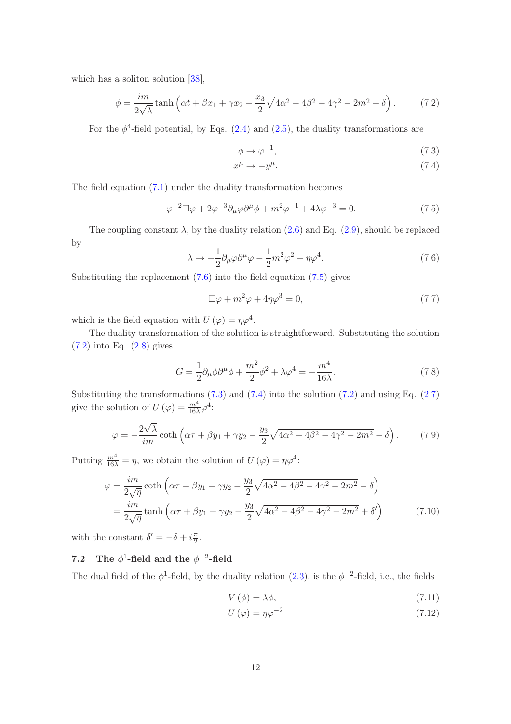which has a soliton solution [38],

$$
\phi = \frac{im}{2\sqrt{\lambda}} \tanh\left(\alpha t + \beta x_1 + \gamma x_2 - \frac{x_3}{2}\sqrt{4\alpha^2 - 4\beta^2 - 4\gamma^2 - 2m^2} + \delta\right). \tag{7.2}
$$

For the  $\phi^4$ -field potential, by Eqs. (2.4) and (2.5), the duality transformations are

$$
\phi \to \varphi^{-1},\tag{7.3}
$$

$$
x^{\mu} \to -y^{\mu}.\tag{7.4}
$$

The field equation (7.1) under the duality transformation becomes

$$
-\varphi^{-2}\Box\varphi + 2\varphi^{-3}\partial_{\mu}\varphi\partial^{\mu}\phi + m^{2}\varphi^{-1} + 4\lambda\varphi^{-3} = 0.
$$
 (7.5)

The coupling constant  $\lambda$ , by the duality relation (2.6) and Eq. (2.9), should be replaced by

$$
\lambda \to -\frac{1}{2} \partial_{\mu} \varphi \partial^{\mu} \varphi - \frac{1}{2} m^2 \varphi^2 - \eta \varphi^4. \tag{7.6}
$$

Substituting the replacement  $(7.6)$  into the field equation  $(7.5)$  gives

$$
\Box \varphi + m^2 \varphi + 4\eta \varphi^3 = 0, \qquad (7.7)
$$

which is the field equation with  $U(\varphi) = \eta \varphi^4$ .

The duality transformation of the solution is straightforward. Substituting the solution (7.2) into Eq. (2.8) gives

$$
G = \frac{1}{2}\partial_{\mu}\phi\partial^{\mu}\phi + \frac{m^2}{2}\phi^2 + \lambda\varphi^4 = -\frac{m^4}{16\lambda}.
$$
 (7.8)

Substituting the transformations  $(7.3)$  and  $(7.4)$  into the solution  $(7.2)$  and using Eq.  $(2.7)$ give the solution of  $U(\varphi) = \frac{m^4}{16\lambda}\varphi^4$ :

$$
\varphi = -\frac{2\sqrt{\lambda}}{im}\coth\left(\alpha\tau + \beta y_1 + \gamma y_2 - \frac{y_3}{2}\sqrt{4\alpha^2 - 4\beta^2 - 4\gamma^2 - 2m^2} - \delta\right). \tag{7.9}
$$

Putting  $\frac{m^4}{16\lambda} = \eta$ , we obtain the solution of  $U(\varphi) = \eta \varphi^4$ :

$$
\varphi = \frac{im}{2\sqrt{\eta}} \coth\left(\alpha \tau + \beta y_1 + \gamma y_2 - \frac{y_3}{2}\sqrt{4\alpha^2 - 4\beta^2 - 4\gamma^2 - 2m^2} - \delta\right)
$$
  
= 
$$
\frac{im}{2\sqrt{\eta}} \tanh\left(\alpha \tau + \beta y_1 + \gamma y_2 - \frac{y_3}{2}\sqrt{4\alpha^2 - 4\beta^2 - 4\gamma^2 - 2m^2} + \delta'\right)
$$
(7.10)

with the constant  $\delta' = -\delta + i\frac{\pi}{2}$  $\frac{\pi}{2}$ .

## 7.2 The  $\phi^1\text{-field}$  and the  $\phi^{-2}\text{-field}$

The dual field of the  $\phi^1$ -field, by the duality relation  $(2.3)$ , is the  $\phi^{-2}$ -field, i.e., the fields

$$
V(\phi) = \lambda \phi,\tag{7.11}
$$

$$
U(\varphi) = \eta \varphi^{-2} \tag{7.12}
$$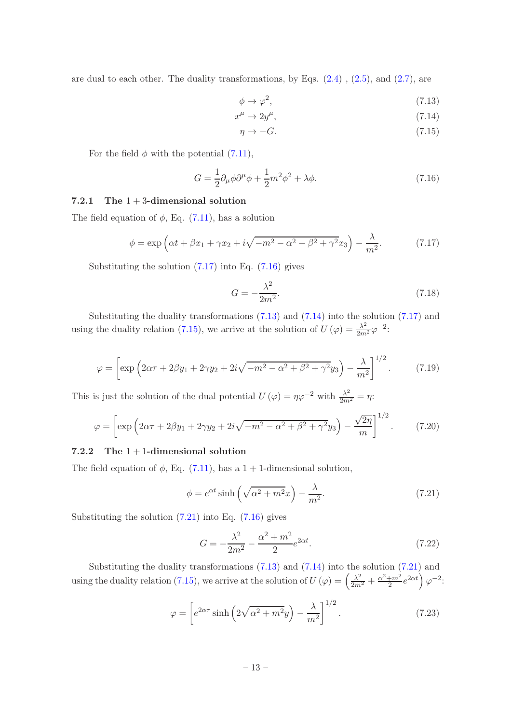are dual to each other. The duality transformations, by Eqs.  $(2.4)$ ,  $(2.5)$ , and  $(2.7)$ , are

$$
\phi \to \varphi^2,\tag{7.13}
$$

$$
x^{\mu} \to 2y^{\mu}, \tag{7.14}
$$

$$
\eta \to -G. \tag{7.15}
$$

For the field  $\phi$  with the potential  $(7.11)$ ,

$$
G = \frac{1}{2}\partial_{\mu}\phi\partial^{\mu}\phi + \frac{1}{2}m^2\phi^2 + \lambda\phi.
$$
 (7.16)

## 7.2.1 The  $1+3$ -dimensional solution

The field equation of  $\phi$ , Eq. (7.11), has a solution

$$
\phi = \exp\left(\alpha t + \beta x_1 + \gamma x_2 + i\sqrt{-m^2 - \alpha^2 + \beta^2 + \gamma^2} x_3\right) - \frac{\lambda}{m^2}.\tag{7.17}
$$

Substituting the solution  $(7.17)$  into Eq.  $(7.16)$  gives

$$
G = -\frac{\lambda^2}{2m^2}.\tag{7.18}
$$

Substituting the duality transformations (7.13) and (7.14) into the solution (7.17) and using the duality relation (7.15), we arrive at the solution of  $U(\varphi) = \frac{\lambda^2}{2m^2} \varphi^{-2}$ :

$$
\varphi = \left[ \exp \left( 2\alpha \tau + 2\beta y_1 + 2\gamma y_2 + 2i\sqrt{-m^2 - \alpha^2 + \beta^2 + \gamma^2} y_3 \right) - \frac{\lambda}{m^2} \right]^{1/2} . \tag{7.19}
$$

This is just the solution of the dual potential  $U(\varphi) = \eta \varphi^{-2}$  with  $\frac{\lambda^2}{2m^2} = \eta$ :

$$
\varphi = \left[ \exp \left( 2\alpha \tau + 2\beta y_1 + 2\gamma y_2 + 2i\sqrt{-m^2 - \alpha^2 + \beta^2 + \gamma^2} y_3 \right) - \frac{\sqrt{2\eta}}{m} \right]^{1/2} . \tag{7.20}
$$

#### 7.2.2 The  $1+1$ -dimensional solution

The field equation of  $\phi$ , Eq. (7.11), has a 1 + 1-dimensional solution,

$$
\phi = e^{\alpha t} \sinh\left(\sqrt{\alpha^2 + m^2}x\right) - \frac{\lambda}{m^2}.\tag{7.21}
$$

Substituting the solution  $(7.21)$  into Eq.  $(7.16)$  gives

$$
G = -\frac{\lambda^2}{2m^2} - \frac{\alpha^2 + m^2}{2} e^{2\alpha t}.
$$
 (7.22)

Substituting the duality transformations  $(7.13)$  and  $(7.14)$  into the solution  $(7.21)$  and using the duality relation (7.15), we arrive at the solution of  $U(\varphi) = \left(\frac{\lambda^2}{2m^2} + \frac{\alpha^2 + m^2}{2}\right)$  $\frac{1+m^2}{2}e^{2\alpha t}\Big)\varphi^{-2}$ :

$$
\varphi = \left[ e^{2\alpha \tau} \sinh\left(2\sqrt{\alpha^2 + m^2}y\right) - \frac{\lambda}{m^2} \right]^{1/2} . \tag{7.23}
$$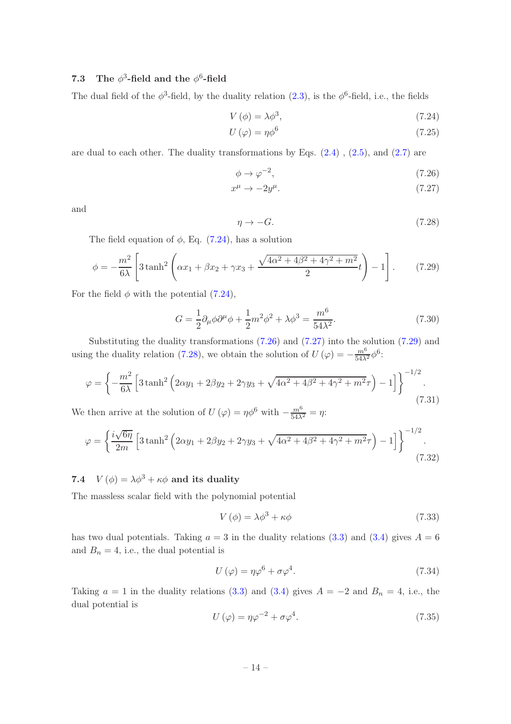## 7.3 The  $\phi^3$ -field and the  $\phi^6$ -field

The dual field of the  $\phi^3$ -field, by the duality relation (2.3), is the  $\phi^6$ -field, i.e., the fields

$$
V(\phi) = \lambda \phi^3,\tag{7.24}
$$

$$
U\left(\varphi\right) = \eta \phi^6 \tag{7.25}
$$

are dual to each other. The duality transformations by Eqs.  $(2.4)$ ,  $(2.5)$ , and  $(2.7)$  are

$$
\phi \to \varphi^{-2},\tag{7.26}
$$

$$
x^{\mu} \to -2y^{\mu}.\tag{7.27}
$$

and

$$
\eta \to -G. \tag{7.28}
$$

The field equation of  $\phi$ , Eq. (7.24), has a solution

$$
\phi = -\frac{m^2}{6\lambda} \left[ 3 \tanh^2 \left( \alpha x_1 + \beta x_2 + \gamma x_3 + \frac{\sqrt{4\alpha^2 + 4\beta^2 + 4\gamma^2 + m^2}}{2} t \right) - 1 \right].
$$
 (7.29)

For the field  $\phi$  with the potential (7.24),

$$
G = \frac{1}{2}\partial_{\mu}\phi\partial^{\mu}\phi + \frac{1}{2}m^{2}\phi^{2} + \lambda\phi^{3} = \frac{m^{6}}{54\lambda^{2}}.
$$
 (7.30)

Substituting the duality transformations (7.26) and (7.27) into the solution (7.29) and using the duality relation (7.28), we obtain the solution of  $U(\varphi) = -\frac{m^6}{54\lambda^2}\phi^6$ :

$$
\varphi = \left\{ -\frac{m^2}{6\lambda} \left[ 3 \tanh^2 \left( 2\alpha y_1 + 2\beta y_2 + 2\gamma y_3 + \sqrt{4\alpha^2 + 4\beta^2 + 4\gamma^2 + m^2} \tau \right) - 1 \right] \right\}^{-1/2}.
$$
\n(7.31)

We then arrive at the solution of  $U(\varphi) = \eta \phi^6$  with  $-\frac{m^6}{54\lambda^2} = \eta$ :

$$
\varphi = \left\{ \frac{i\sqrt{6\eta}}{2m} \left[ 3\tanh^2\left(2\alpha y_1 + 2\beta y_2 + 2\gamma y_3 + \sqrt{4\alpha^2 + 4\beta^2 + 4\gamma^2 + m^2}\tau \right) - 1 \right] \right\}^{-1/2}.
$$
\n(7.32)

7.4  $V(\phi) = \lambda \phi^3 + \kappa \phi$  and its duality

The massless scalar field with the polynomial potential

$$
V(\phi) = \lambda \phi^3 + \kappa \phi \tag{7.33}
$$

has two dual potentials. Taking  $a = 3$  in the duality relations (3.3) and (3.4) gives  $A = 6$ and  $B_n = 4$ , i.e., the dual potential is

$$
U(\varphi) = \eta \varphi^6 + \sigma \varphi^4. \tag{7.34}
$$

Taking  $a = 1$  in the duality relations (3.3) and (3.4) gives  $A = -2$  and  $B_n = 4$ , i.e., the dual potential is

$$
U(\varphi) = \eta \varphi^{-2} + \sigma \varphi^{4}.
$$
\n(7.35)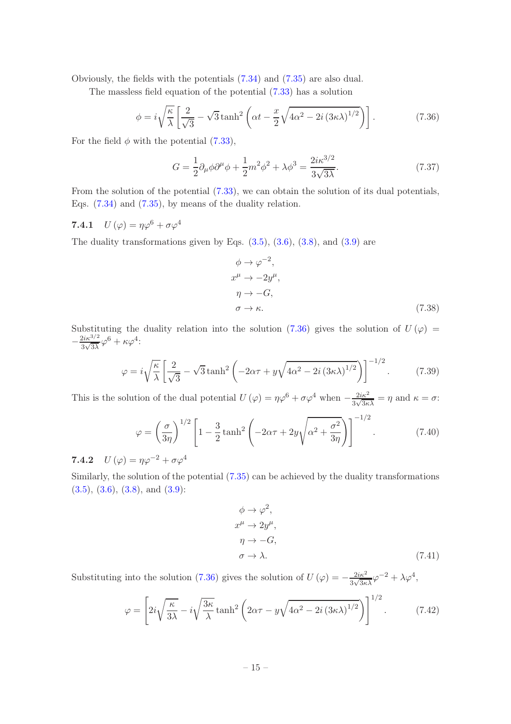Obviously, the fields with the potentials (7.34) and (7.35) are also dual.

The massless field equation of the potential (7.33) has a solution

$$
\phi = i\sqrt{\frac{\kappa}{\lambda}} \left[ \frac{2}{\sqrt{3}} - \sqrt{3} \tanh^2 \left( \alpha t - \frac{x}{2} \sqrt{4\alpha^2 - 2i \left( 3\kappa \lambda \right)^{1/2}} \right) \right].
$$
 (7.36)

For the field  $\phi$  with the potential (7.33),

$$
G = \frac{1}{2}\partial_{\mu}\phi\partial^{\mu}\phi + \frac{1}{2}m^2\phi^2 + \lambda\phi^3 = \frac{2i\kappa^{3/2}}{3\sqrt{3\lambda}}.\tag{7.37}
$$

From the solution of the potential  $(7.33)$ , we can obtain the solution of its dual potentials, Eqs. (7.34) and (7.35), by means of the duality relation.

7.4.1  $U(\varphi) = \eta \varphi^6 + \sigma \varphi^4$ 

The duality transformations given by Eqs.  $(3.5)$ ,  $(3.6)$ ,  $(3.8)$ , and  $(3.9)$  are

$$
\phi \to \varphi^{-2},
$$
  
\n
$$
x^{\mu} \to -2y^{\mu},
$$
  
\n
$$
\eta \to -G,
$$
  
\n
$$
\sigma \to \kappa.
$$
\n(7.38)

Substituting the duality relation into the solution (7.36) gives the solution of  $U(\varphi)$  =  $-\frac{2i\kappa^{3/2}}{3\sqrt{3\lambda}}$  $\frac{2i\kappa^{3/2}}{3\sqrt{3\lambda}}\varphi^6+\kappa\varphi^4$ :

$$
\varphi = i\sqrt{\frac{\kappa}{\lambda}} \left[ \frac{2}{\sqrt{3}} - \sqrt{3} \tanh^2 \left( -2\alpha \tau + y\sqrt{4\alpha^2 - 2i \left( 3\kappa \lambda \right)^{1/2}} \right) \right]^{-1/2}.
$$
 (7.39)

This is the solution of the dual potential  $U(\varphi) = \eta \varphi^6 + \sigma \varphi^4$  when  $-\frac{2i\kappa^2}{3\sqrt{3\kappa}}$  $\frac{2i\kappa^2}{3\sqrt{3\kappa\lambda}} = \eta$  and  $\kappa = \sigma$ :

$$
\varphi = \left(\frac{\sigma}{3\eta}\right)^{1/2} \left[1 - \frac{3}{2}\tanh^2\left(-2\alpha\tau + 2y\sqrt{\alpha^2 + \frac{\sigma^2}{3\eta}}\right)\right]^{-1/2}.\tag{7.40}
$$

7.4.2  $U(\varphi) = \eta \varphi^{-2} + \sigma \varphi^4$ 

Similarly, the solution of the potential (7.35) can be achieved by the duality transformations  $(3.5), (3.6), (3.8), \text{ and } (3.9)$ :

$$
\begin{aligned}\n\phi &\to \varphi^2, \\
x^\mu &\to 2y^\mu, \\
\eta &\to -G, \\
\sigma &\to \lambda.\n\end{aligned}
$$
\n
$$
(7.41)
$$

Substituting into the solution (7.36) gives the solution of  $U(\varphi) = -\frac{2i\kappa^2}{3\sqrt{3\kappa\lambda}}\varphi^{-2} + \lambda\varphi^4$ ,

$$
\varphi = \left[2i\sqrt{\frac{\kappa}{3\lambda}} - i\sqrt{\frac{3\kappa}{\lambda}}\tanh^2\left(2\alpha\tau - y\sqrt{4\alpha^2 - 2i\left(3\kappa\lambda\right)^{1/2}}\right)\right]^{1/2}.\tag{7.42}
$$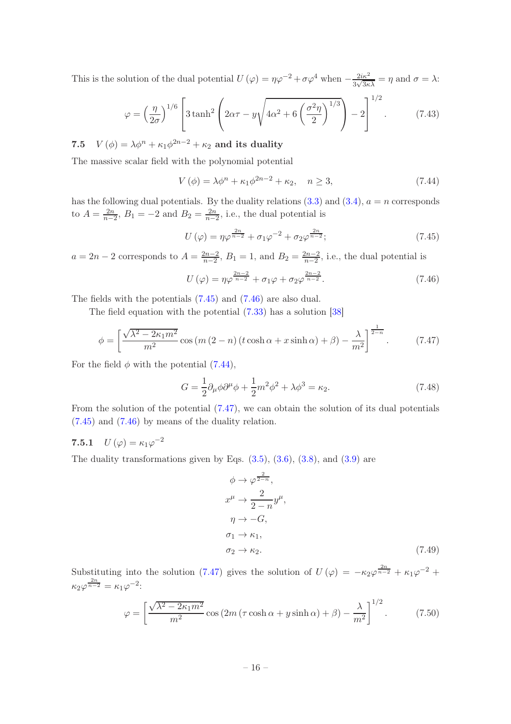This is the solution of the dual potential  $U(\varphi) = \eta \varphi^{-2} + \sigma \varphi^4$  when  $-\frac{2i\kappa^2}{3\sqrt{3\kappa}}$  $\frac{2i\kappa^2}{3\sqrt{3\kappa\lambda}} = \eta$  and  $\sigma = \lambda$ :

$$
\varphi = \left(\frac{\eta}{2\sigma}\right)^{1/6} \left[3\tanh^2\left(2\alpha\tau - y\sqrt{4\alpha^2 + 6\left(\frac{\sigma^2\eta}{2}\right)^{1/3}}\right) - 2\right]^{1/2}.\tag{7.43}
$$

7.5  $V(\phi) = \lambda \phi^n + \kappa_1 \phi^{2n-2} + \kappa_2$  and its duality

The massive scalar field with the polynomial potential

$$
V(\phi) = \lambda \phi^n + \kappa_1 \phi^{2n-2} + \kappa_2, \quad n \ge 3,
$$
\n(7.44)

has the following dual potentials. By the duality relations  $(3.3)$  and  $(3.4)$ ,  $a = n$  corresponds to  $A=\frac{2n}{n-1}$  $\frac{2n}{n-2}$ ,  $B_1 = -2$  and  $B_2 = \frac{2n}{n-2}$  $\frac{2n}{n-2}$ , i.e., the dual potential is

$$
U(\varphi) = \eta \varphi^{\frac{2n}{n-2}} + \sigma_1 \varphi^{-2} + \sigma_2 \varphi^{\frac{2n}{n-2}};
$$
 (7.45)

 $a = 2n - 2$  corresponds to  $A = \frac{2n-2}{n-2}$  $\frac{2n-2}{n-2}$ ,  $B_1 = 1$ , and  $B_2 = \frac{2n-2}{n-2}$  $\frac{2n-2}{n-2}$ , i.e., the dual potential is

$$
U(\varphi) = \eta \varphi^{\frac{2n-2}{n-2}} + \sigma_1 \varphi + \sigma_2 \varphi^{\frac{2n-2}{n-2}}.
$$
 (7.46)

The fields with the potentials (7.45) and (7.46) are also dual.

The field equation with the potential (7.33) has a solution [38]

$$
\phi = \left[ \frac{\sqrt{\lambda^2 - 2\kappa_1 m^2}}{m^2} \cos\left(m\left(2 - n\right) \left(t \cosh \alpha + x \sinh \alpha\right) + \beta\right) - \frac{\lambda}{m^2} \right]^{\frac{1}{2 - n}}.\tag{7.47}
$$

For the field  $\phi$  with the potential (7.44),

$$
G = \frac{1}{2}\partial_{\mu}\phi\partial^{\mu}\phi + \frac{1}{2}m^2\phi^2 + \lambda\phi^3 = \kappa_2.
$$
 (7.48)

From the solution of the potential (7.47), we can obtain the solution of its dual potentials (7.45) and (7.46) by means of the duality relation.

## 7.5.1  $U\left(\varphi\right) = \kappa_1 \varphi^{-2}$

The duality transformations given by Eqs.  $(3.5)$ ,  $(3.6)$ ,  $(3.8)$ , and  $(3.9)$  are

$$
\phi \to \varphi^{\frac{2}{2-n}},
$$
  
\n
$$
x^{\mu} \to \frac{2}{2-n} y^{\mu},
$$
  
\n
$$
\eta \to -G,
$$
  
\n
$$
\sigma_1 \to \kappa_1,
$$
  
\n
$$
\sigma_2 \to \kappa_2.
$$
\n(7.49)

Substituting into the solution (7.47) gives the solution of  $U(\varphi) = -\kappa_2\varphi^{\frac{2n}{n-2}} + \kappa_1\varphi^{-2} +$  $\kappa_2\varphi^{\frac{2n}{n-2}} = \kappa_1\varphi^{-2}$ :

$$
\varphi = \left[\frac{\sqrt{\lambda^2 - 2\kappa_1 m^2}}{m^2} \cos\left(2m\left(\tau\cosh\alpha + y\sinh\alpha\right) + \beta\right) - \frac{\lambda}{m^2}\right]^{1/2}.\tag{7.50}
$$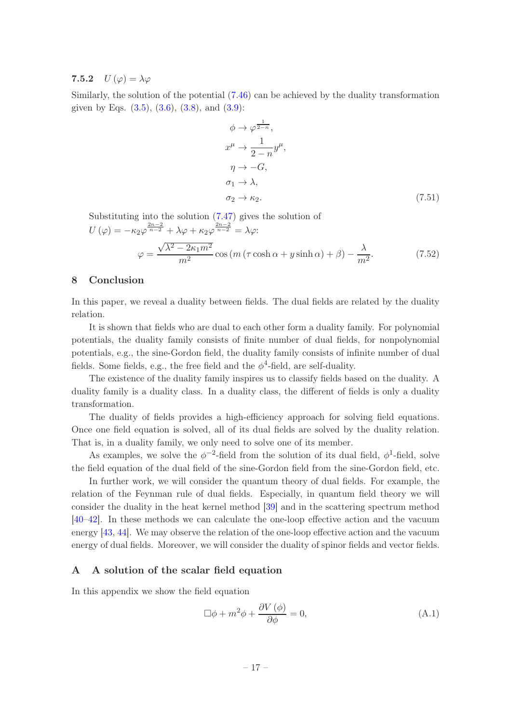## 7.5.2  $U(\varphi) = \lambda \varphi$

Similarly, the solution of the potential (7.46) can be achieved by the duality transformation given by Eqs.  $(3.5)$ ,  $(3.6)$ ,  $(3.8)$ , and  $(3.9)$ :

$$
\phi \to \varphi^{\frac{1}{2-n}},
$$
  
\n
$$
x^{\mu} \to \frac{1}{2-n} y^{\mu},
$$
  
\n
$$
\eta \to -G,
$$
  
\n
$$
\sigma_1 \to \lambda,
$$
  
\n
$$
\sigma_2 \to \kappa_2.
$$
\n(7.51)

Substituting into the solution (7.47) gives the solution of  $U(\varphi) = -\kappa_2 \varphi^{\frac{2n-2}{n-2}} + \lambda \varphi + \kappa_2 \varphi^{\frac{2n-2}{n-2}} = \lambda \varphi$ :  $\varphi =$  $\sqrt{\lambda^2 - 2\kappa_1 m^2}$  $\frac{(x-2\kappa_1 m^2)}{m^2}$  cos  $(m(\tau \cosh \alpha + y \sinh \alpha) + \beta) - \frac{\lambda_1 m^2}{m^2}$  $m<sup>2</sup>$  $(7.52)$ 

## 8 Conclusion

In this paper, we reveal a duality between fields. The dual fields are related by the duality relation.

It is shown that fields who are dual to each other form a duality family. For polynomial potentials, the duality family consists of finite number of dual fields, for nonpolynomial potentials, e.g., the sine-Gordon field, the duality family consists of infinite number of dual fields. Some fields, e.g., the free field and the  $\phi^4$ -field, are self-duality.

The existence of the duality family inspires us to classify fields based on the duality. A duality family is a duality class. In a duality class, the different of fields is only a duality transformation.

The duality of fields provides a high-efficiency approach for solving field equations. Once one field equation is solved, all of its dual fields are solved by the duality relation. That is, in a duality family, we only need to solve one of its member.

As examples, we solve the  $\phi^{-2}$ -field from the solution of its dual field,  $\phi^1$ -field, solve the field equation of the dual field of the sine-Gordon field from the sine-Gordon field, etc.

In further work, we will consider the quantum theory of dual fields. For example, the relation of the Feynman rule of dual fields. Especially, in quantum field theory we will consider the duality in the heat kernel method [39] and in the scattering spectrum method [40–42]. In these methods we can calculate the one-loop effective action and the vacuum energy [43, 44]. We may observe the relation of the one-loop effective action and the vacuum energy of dual fields. Moreover, we will consider the duality of spinor fields and vector fields.

## A A solution of the scalar field equation

In this appendix we show the field equation

$$
\Box \phi + m^2 \phi + \frac{\partial V(\phi)}{\partial \phi} = 0, \tag{A.1}
$$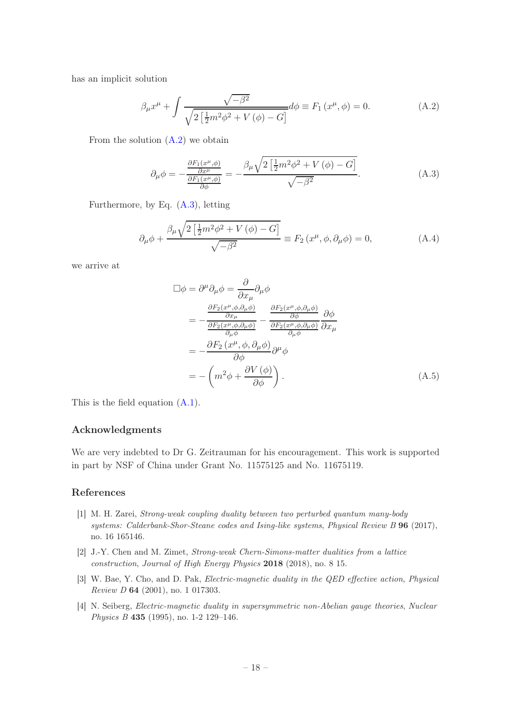has an implicit solution

$$
\beta_{\mu}x^{\mu} + \int \frac{\sqrt{-\beta^2}}{\sqrt{2\left[\frac{1}{2}m^2\phi^2 + V(\phi) - G\right]}} d\phi \equiv F_1(x^{\mu}, \phi) = 0.
$$
 (A.2)

From the solution  $(A.2)$  we obtain

$$
\partial_{\mu}\phi = -\frac{\frac{\partial F_1(x^{\mu}, \phi)}{\partial x^{\mu}}}{\frac{\partial F_1(x^{\mu}, \phi)}{\partial \phi}} = -\frac{\beta_{\mu}\sqrt{2\left[\frac{1}{2}m^2\phi^2 + V(\phi) - G\right]}}{\sqrt{-\beta^2}}.
$$
\n(A.3)

Furthermore, by Eq. (A.3), letting

$$
\partial_{\mu}\phi + \frac{\beta_{\mu}\sqrt{2\left[\frac{1}{2}m^2\phi^2 + V(\phi) - G\right]}}{\sqrt{-\beta^2}} \equiv F_2(x^{\mu}, \phi, \partial_{\mu}\phi) = 0,
$$
\n(A.4)

we arrive at

$$
\Box \phi = \partial^{\mu} \partial_{\mu} \phi = \frac{\partial}{\partial x_{\mu}} \partial_{\mu} \phi
$$
\n
$$
= -\frac{\frac{\partial F_{2}(x^{\mu}, \phi, \partial_{\mu} \phi)}{\partial x_{\mu}}}{\frac{\partial F_{2}(x^{\mu}, \phi, \partial_{\mu} \phi)}{\partial_{\mu} \phi}} - \frac{\frac{\partial F_{2}(x^{\mu}, \phi, \partial_{\mu} \phi)}{\partial \phi}}{\frac{\partial F_{2}(x^{\mu}, \phi, \partial_{\mu} \phi)}{\partial_{\mu} \phi}} \frac{\partial \phi}{\partial x_{\mu}}
$$
\n
$$
= -\frac{\partial F_{2}(x^{\mu}, \phi, \partial_{\mu} \phi)}{\partial \phi} \partial^{\mu} \phi
$$
\n
$$
= -\left( m^{2} \phi + \frac{\partial V(\phi)}{\partial \phi} \right). \tag{A.5}
$$

This is the field equation (A.1).

### Acknowledgments

We are very indebted to Dr G. Zeitrauman for his encouragement. This work is supported in part by NSF of China under Grant No. 11575125 and No. 11675119.

#### References

- [1] M. H. Zarei, Strong-weak coupling duality between two perturbed quantum many-body systems: Calderbank-Shor-Steane codes and Ising-like systems, Physical Review B 96 (2017), no. 16 165146.
- [2] J.-Y. Chen and M. Zimet, Strong-weak Chern-Simons-matter dualities from a lattice construction, Journal of High Energy Physics 2018 (2018), no. 8 15.
- [3] W. Bae, Y. Cho, and D. Pak, Electric-magnetic duality in the QED effective action, Physical Review D 64 (2001), no. 1 017303.
- [4] N. Seiberg, Electric-magnetic duality in supersymmetric non-Abelian gauge theories, Nuclear Physics B 435 (1995), no. 1-2 129–146.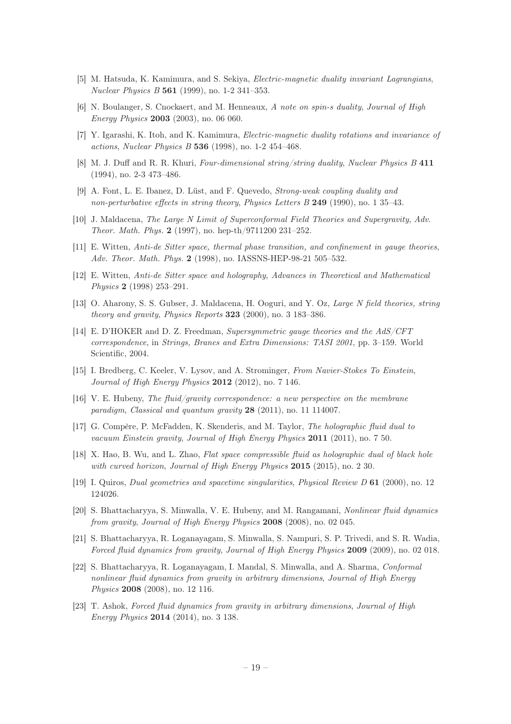- [5] M. Hatsuda, K. Kamimura, and S. Sekiya, Electric-magnetic duality invariant Lagrangians, Nuclear Physics B 561 (1999), no. 1-2 341–353.
- [6] N. Boulanger, S. Cnockaert, and M. Henneaux, A note on spin-s duality, Journal of High Energy Physics 2003 (2003), no. 06 060.
- [7] Y. Igarashi, K. Itoh, and K. Kamimura, Electric-magnetic duality rotations and invariance of actions, Nuclear Physics B 536 (1998), no. 1-2 454–468.
- [8] M. J. Duff and R. R. Khuri, Four-dimensional string/string duality, Nuclear Physics B 411 (1994), no. 2-3 473–486.
- [9] A. Font, L. E. Ibanez, D. Lüst, and F. Quevedo, Strong-weak coupling duality and non-perturbative effects in string theory, Physics Letters B 249 (1990), no. 1 35–43.
- [10] J. Maldacena, The Large N Limit of Superconformal Field Theories and Supergravity, Adv. Theor. Math. Phys. 2 (1997), no. hep-th/9711200 231–252.
- [11] E. Witten, Anti-de Sitter space, thermal phase transition, and confinement in gauge theories, Adv. Theor. Math. Phys. 2 (1998), no. IASSNS-HEP-98-21 505–532.
- [12] E. Witten, Anti-de Sitter space and holography, Advances in Theoretical and Mathematical Physics 2 (1998) 253–291.
- [13] O. Aharony, S. S. Gubser, J. Maldacena, H. Ooguri, and Y. Oz, Large N field theories, string theory and gravity, Physics Reports 323 (2000), no. 3 183–386.
- [14] E. D'HOKER and D. Z. Freedman, Supersymmetric gauge theories and the AdS/CFT correspondence, in Strings, Branes and Extra Dimensions: TASI 2001, pp. 3–159. World Scientific, 2004.
- [15] I. Bredberg, C. Keeler, V. Lysov, and A. Strominger, From Navier-Stokes To Einstein, Journal of High Energy Physics 2012 (2012), no. 7 146.
- [16] V. E. Hubeny, The fluid/gravity correspondence: a new perspective on the membrane paradigm, Classical and quantum gravity 28 (2011), no. 11 114007.
- [17] G. Compère, P. McFadden, K. Skenderis, and M. Taylor, The holographic fluid dual to vacuum Einstein gravity, Journal of High Energy Physics 2011 (2011), no. 7 50.
- [18] X. Hao, B. Wu, and L. Zhao, Flat space compressible fluid as holographic dual of black hole with curved horizon, Journal of High Energy Physics 2015 (2015), no. 2 30.
- [19] I. Quiros, Dual geometries and spacetime singularities, Physical Review D 61 (2000), no. 12 124026.
- [20] S. Bhattacharyya, S. Minwalla, V. E. Hubeny, and M. Rangamani, Nonlinear fluid dynamics from gravity, Journal of High Energy Physics 2008 (2008), no. 02 045.
- [21] S. Bhattacharyya, R. Loganayagam, S. Minwalla, S. Nampuri, S. P. Trivedi, and S. R. Wadia, Forced fluid dynamics from gravity, Journal of High Energy Physics 2009 (2009), no. 02 018.
- [22] S. Bhattacharyya, R. Loganayagam, I. Mandal, S. Minwalla, and A. Sharma, Conformal nonlinear fluid dynamics from gravity in arbitrary dimensions, Journal of High Energy Physics 2008 (2008), no. 12 116.
- [23] T. Ashok, Forced fluid dynamics from gravity in arbitrary dimensions, Journal of High Energy Physics 2014 (2014), no. 3 138.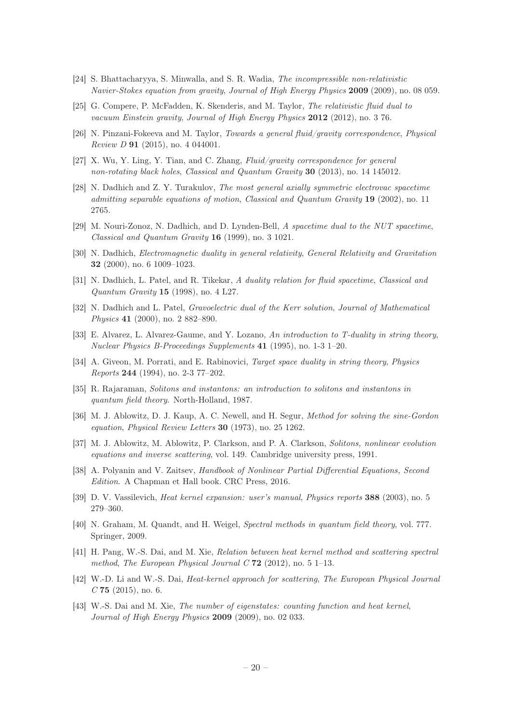- [24] S. Bhattacharyya, S. Minwalla, and S. R. Wadia, The incompressible non-relativistic Navier-Stokes equation from gravity, Journal of High Energy Physics 2009 (2009), no. 08 059.
- [25] G. Compere, P. McFadden, K. Skenderis, and M. Taylor, The relativistic fluid dual to vacuum Einstein gravity, Journal of High Energy Physics 2012 (2012), no. 3 76.
- [26] N. Pinzani-Fokeeva and M. Taylor, Towards a general fluid/gravity correspondence, Physical Review D 91 (2015), no. 4 044001.
- [27] X. Wu, Y. Ling, Y. Tian, and C. Zhang, Fluid/gravity correspondence for general non-rotating black holes, Classical and Quantum Gravity 30 (2013), no. 14 145012.
- [28] N. Dadhich and Z. Y. Turakulov, The most general axially symmetric electrovac spacetime admitting separable equations of motion, Classical and Quantum Gravity 19 (2002), no. 11 2765.
- [29] M. Nouri-Zonoz, N. Dadhich, and D. Lynden-Bell, A spacetime dual to the NUT spacetime, Classical and Quantum Gravity 16 (1999), no. 3 1021.
- [30] N. Dadhich, Electromagnetic duality in general relativity, General Relativity and Gravitation 32 (2000), no. 6 1009–1023.
- [31] N. Dadhich, L. Patel, and R. Tikekar, A duality relation for fluid spacetime, Classical and Quantum Gravity 15 (1998), no. 4 L27.
- [32] N. Dadhich and L. Patel, Gravoelectric dual of the Kerr solution, Journal of Mathematical Physics 41 (2000), no. 2 882–890.
- [33] E. Alvarez, L. Alvarez-Gaume, and Y. Lozano, An introduction to T-duality in string theory, Nuclear Physics B-Proceedings Supplements 41 (1995), no. 1-3 1–20.
- [34] A. Giveon, M. Porrati, and E. Rabinovici, Target space duality in string theory, Physics Reports 244 (1994), no. 2-3 77–202.
- [35] R. Rajaraman, Solitons and instantons: an introduction to solitons and instantons in quantum field theory. North-Holland, 1987.
- [36] M. J. Ablowitz, D. J. Kaup, A. C. Newell, and H. Segur, Method for solving the sine-Gordon equation, Physical Review Letters 30 (1973), no. 25 1262.
- [37] M. J. Ablowitz, M. Ablowitz, P. Clarkson, and P. A. Clarkson, Solitons, nonlinear evolution equations and inverse scattering, vol. 149. Cambridge university press, 1991.
- [38] A. Polyanin and V. Zaitsev, Handbook of Nonlinear Partial Differential Equations, Second Edition. A Chapman et Hall book. CRC Press, 2016.
- [39] D. V. Vassilevich, Heat kernel expansion: user's manual, Physics reports 388 (2003), no. 5 279–360.
- [40] N. Graham, M. Quandt, and H. Weigel, Spectral methods in quantum field theory, vol. 777. Springer, 2009.
- [41] H. Pang, W.-S. Dai, and M. Xie, Relation between heat kernel method and scattering spectral method, The European Physical Journal C  $72$  (2012), no. 5 1–13.
- [42] W.-D. Li and W.-S. Dai, Heat-kernel approach for scattering, The European Physical Journal  $C$  75 (2015), no. 6.
- [43] W.-S. Dai and M. Xie, The number of eigenstates: counting function and heat kernel, Journal of High Energy Physics 2009 (2009), no. 02 033.